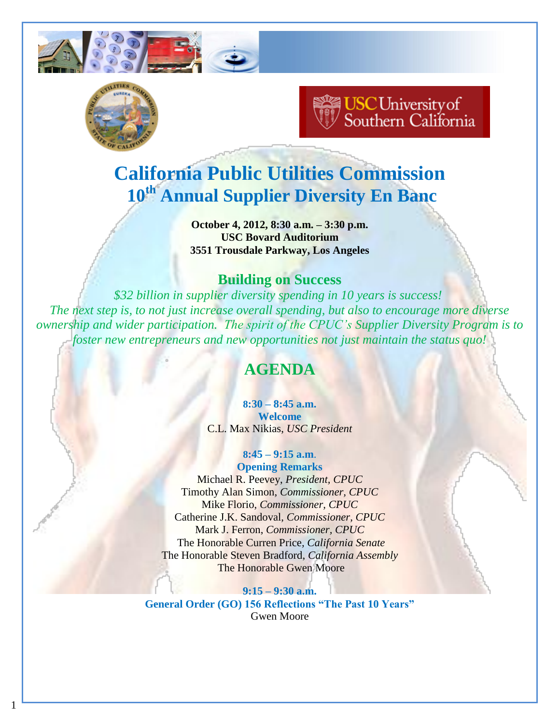



1

# **USC University of**<br>Southern California

# **California Public Utilities Commission 10th Annual Supplier Diversity En Banc**

**October 4, 2012, 8:30 a.m. – 3:30 p.m. USC Bovard Auditorium 3551 Trousdale Parkway, Los Angeles**

# **Building on Success**

*\$32 billion in supplier diversity spending in 10 years is success! The next step is, to not just increase overall spending, but also to encourage more diverse ownership and wider participation. The spirit of the CPUC's Supplier Diversity Program is to foster new entrepreneurs and new opportunities not just maintain the status quo!*

# **AGENDA**

**8:30 – 8:45 a.m. Welcome** C.L. Max Nikias, *USC President*

## **8:45 – 9:15 a.m**.

**Opening Remarks** Michael R. Peevey, *President, CPUC* Timothy Alan Simon, *Commissioner, CPUC* Mike Florio, *Commissioner, CPUC* Catherine J.K. Sandoval, *Commissioner, CPUC* Mark J. Ferron, *Commissioner, CPUC* The Honorable Curren Price*, California Senate* The Honorable Steven Bradford, *California Assembly* The Honorable Gwen Moore

**9:15 – 9:30 a.m. General Order (GO) 156 Reflections "The Past 10 Years"** Gwen Moore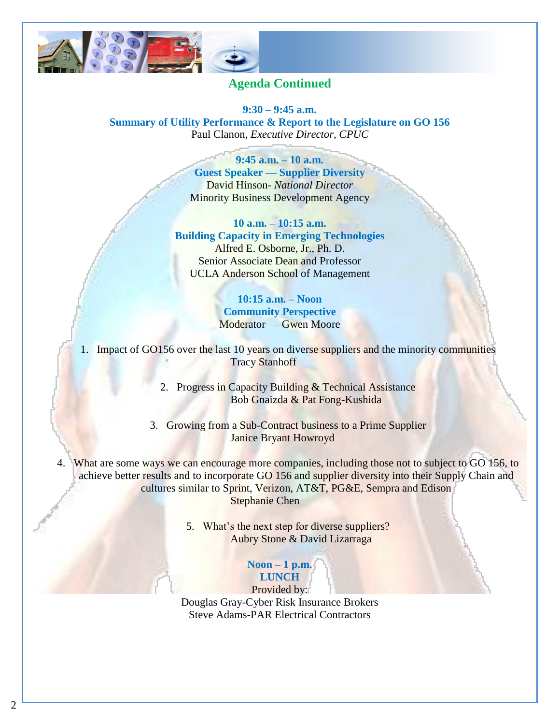

## **Agenda Continued**

**9:30 – 9:45 a.m. Summary of Utility Performance & Report to the Legislature on GO 156** Paul Clanon, *Executive Director, CPUC*

#### **9:45 a.m. – 10 a.m.**

**Guest Speaker — Supplier Diversity** David Hinson- *National Director* Minority Business Development Agency

#### **10 a.m. – 10:15 a.m.**

**Building Capacity in Emerging Technologies** Alfred E. Osborne, Jr., Ph. D. Senior Associate Dean and Professor UCLA Anderson School of Management

#### **10:15 a.m. – Noon Community Perspective** Moderator — Gwen Moore

1. Impact of GO156 over the last 10 years on diverse suppliers and the minority communities Tracy Stanhoff

> 2. Progress in Capacity Building & Technical Assistance Bob Gnaizda & Pat Fong-Kushida

3. Growing from a Sub-Contract business to a Prime Supplier Janice Bryant Howroyd

4. What are some ways we can encourage more companies, including those not to subject to GO 156, to achieve better results and to incorporate GO 156 and supplier diversity into their Supply Chain and cultures similar to Sprint, Verizon, AT&T, PG&E, Sempra and Edison Stephanie Chen

> 5. What's the next step for diverse suppliers? Aubry Stone & David Lizarraga

#### **Noon – 1 p.m. LUNCH**

Provided by: Douglas Gray-Cyber Risk Insurance Brokers Steve Adams-PAR Electrical Contractors